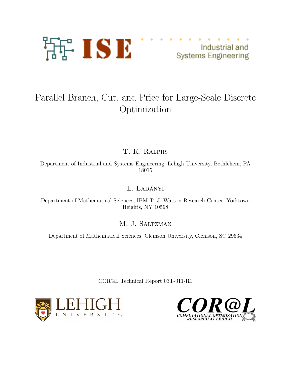

Industrial and **Systems Engineering** 

# Parallel Branch, Cut, and Price for Large-Scale Discrete Optimization

T. K. Ralphs

Department of Industrial and Systems Engineering, Lehigh University, Bethlehem, PA 18015

L. LADÁNYI

Department of Mathematical Sciences, IBM T. J. Watson Research Center, Yorktown Heights, NY 10598

M. J. Saltzman

Department of Mathematical Sciences, Clemson University, Clemson, SC 29634

COR@L Technical Report 03T-011-R1



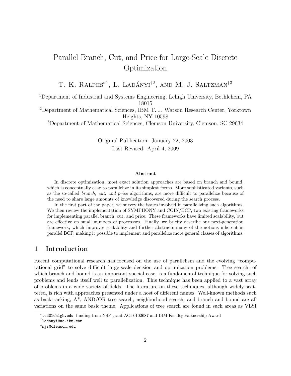## Parallel Branch, Cut, and Price for Large-Scale Discrete Optimization

T. K. RALPHS<sup>∗1</sup>, L. LADÁNYI<sup>†2</sup>, AND M. J. SALTZMAN<sup>‡3</sup>

<sup>1</sup>Department of Industrial and Systems Engineering, Lehigh University, Bethlehem, PA 18015

<sup>2</sup>Department of Mathematical Sciences, IBM T. J. Watson Research Center, Yorktown Heights, NY 10598

<sup>3</sup>Department of Mathematical Sciences, Clemson University, Clemson, SC 29634

Original Publication: January 22, 2003 Last Revised: April 4, 2009

#### **Abstract**

In discrete optimization, most exact solution approaches are based on branch and bound, which is conceptually easy to parallelize in its simplest forms. More sophisticated variants, such as the so-called *branch, cut, and price* algorithms, are more difficult to parallelize because of the need to share large amounts of knowledge discovered during the search process.

In the first part of the paper, we survey the issues involved in parallelizing such algorithms. We then review the implementation of SYMPHONY and COIN/BCP, two existing frameworks for implementing parallel branch, cut, and price. These frameworks have limited scalability, but are effective on small numbers of processors. Finally, we briefly describe our next-generation framework, which improves scalability and further abstracts many of the notions inherent in parallel BCP, making it possible to implement and parallelize more general classes of algorithms.

### **1 Introduction**

Recent computational research has focused on the use of parallelism and the evolving "computational grid" to solve difficult large-scale decision and optimization problems. Tree search, of which branch and bound is an important special case, is a fundamental technique for solving such problems and lends itself well to parallelization. This technique has been applied to a vast array of problems in a wide variety of fields. The literature on these techniques, although widely scattered, is rich with approaches presented under a host of different names. Well-known methods such as backtracking, A\*, AND/OR tree search, neighborhood search, and branch and bound are all variations on the same basic theme. Applications of tree search are found in such areas as VLSI

*<sup>∗</sup>* ted@lehigh.edu, funding from NSF grant ACI-0102687 and IBM Faculty Partnership Award

*<sup>†</sup>* ladanyi@us.ibm.com

*<sup>‡</sup>* mjs@clemson.edu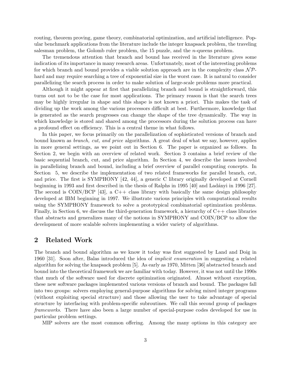routing, theorem proving, game theory, combinatorial optimization, and artificial intelligence. Popular benchmark applications from the literature include the integer knapsack problem, the traveling salesman problem, the Golomb ruler problem, the 15 puzzle, and the *n*-queens problem.

The tremendous attention that branch and bound has received in the literature gives some indication of its importance in many research areas. Unfortunately, most of the interesting problems for which branch and bound provides a viable solution approach are in the complexity class *N P*hard and may require searching a tree of exponential size in the worst case. It is natural to consider parallelizing the search process in order to make solution of large-scale problems more practical.

Although it might appear at first that parallelizing branch and bound is straightforward, this turns out not to be the case for most applications. The primary reason is that the search trees may be highly irregular in shape and this shape is not known a priori. This makes the task of dividing up the work among the various processors difficult at best. Furthermore, knowledge that is generated as the search progresses can change the shape of the tree dynamically. The way in which knowledge is stored and shared among the processors during the solution process can have a profound effect on efficiency. This is a central theme in what follows.

In this paper, we focus primarily on the parallelization of sophisticated versions of branch and bound known as *branch, cut, and price* algorithms. A great deal of what we say, however, applies in more general settings, as we point out in Section 6. The paper is organized as follows. In Section 2, we begin with an overview of related work. Section 3 contains a brief review of the basic sequential branch, cut, and price algorithm. In Section 4, we describe the issues involved in parallelizing branch and bound, including a brief overview of parallel computing concepts. In Section 5, we describe the implementation of two related frameworks for parallel branch, cut, and price. The first is SYMPHONY [42, 44], a generic C library originally developed at Cornell beginning in 1993 and first described in the thesis of Ralphs in 1995 [40] and Ladányi in 1996 [27]. The second is COIN/BCP [43], a C++ class library with basically the same design philosophy developed at IBM beginning in 1997. We illustrate various principles with computational results using the SYMPHONY framework to solve a prototypical combinatorial optimization problems. Finally, in Section 6, we discuss the third-generation framework, a hierarchy of  $C++$  class libraries that abstracts and generalizes many of the notions in SYMPHONY and COIN/BCP to allow the development of more scalable solvers implementing a wider variety of algorithms.

### **2 Related Work**

The branch and bound algorithm as we know it today was first suggested by Land and Doig in 1960 [31]. Soon after, Balas introduced the idea of *implicit enumeration* in suggesting a related algorithm for solving the knapsack problem [5]. As early as 1970, Mitten [36] abstracted branch and bound into the theoretical framework we are familiar with today. However, it was not until the 1990s that much of the software used for discrete optimization originated. Almost without exception, these new software packages implemented various versions of branch and bound. The packages fall into two groups: solvers employing general-purpose algorithms for solving mixed integer programs (without exploiting special structure) and those allowing the user to take advantage of special structure by interfacing with problem-specific subroutines. We call this second group of packages *frameworks*. There have also been a large number of special-purpose codes developed for use in particular problem settings.

MIP solvers are the most common offering. Among the many options in this category are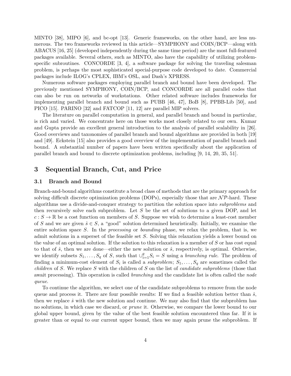MINTO [38], MIPO [6], and bc-opt [13]. Generic frameworks, on the other hand, are less numerous. The two frameworks reviewed in this article—SYMPHONY and COIN/BCP—along with ABACUS [16, 25] (developed independently during the same time period) are the most full-featured packages available. Several others, such as MINTO, also have the capability of utilizing problemspecific subroutines. CONCORDE  $[3, 4]$ , a software package for solving the traveling salesman problem, is perhaps the most sophisticated special-purpose code developed to date. Commercial packages include ILOG's CPLEX, IBM's OSL, and Dash's XPRESS.

Numerous software packages employing parallel branch and bound have been developed. The previously mentioned SYMPHONY, COIN/BCP, and CONCORDE are all parallel codes that can also be run on networks of workstations. Other related software includes frameworks for implementing parallel branch and bound such as PUBB [46, 47], BoB [8], PPBB-Lib [50], and PICO [15]. PARINO [32] and FATCOP [11, 12] are parallel MIP solvers.

The literature on parallel computation in general, and parallel branch and bound in particular, is rich and varied. We concentrate here on those works most closely related to our own. Kumar and Gupta provide an excellent general introduction to the analysis of parallel scalability in [26]. Good overviews and taxonomies of parallel branch and bound algorithms are provided in both [19] and [49]. Eckstein [15] also provides a good overview of the implementation of parallel branch and bound. A substantial number of papers have been written specifically about the application of parallel branch and bound to discrete optimization problems, including [9, 14, 20, 35, 51].

### **3 Sequential Branch, Cut, and Price**

### **3.1 Branch and Bound**

Branch-and-bound algorithms constitute a broad class of methods that are the primary approach for solving difficult discrete optimization problems (DOPs), especially those that are *N P*-hard. These algorithms use a divide-and-conquer strategy to partition the solution space into *subproblems* and then recursively solve each subproblem. Let *S* be the set of solutions to a given DOP, and let  $c: S \to \mathbb{R}$  be a cost function on members of *S*. Suppose we wish to determine a least-cost member of *S* and we are given  $\hat{s} \in S$ , a "good" solution determined heuristically. Initially, we examine the entire solution space *S*. In the *processing* or *bounding* phase, we relax the problem, that is, we admit solutions in a superset of the feasible set *S*. Solving this relaxation yields a lower bound on the value of an optimal solution. If the solution to this relaxation is a member of *S* or has cost equal to that of  $\hat{s}$ , then we are done—either the new solution or  $\hat{s}$ , respectively, is optimal. Otherwise, we identify subsets  $S_1, \ldots, S_q$  of *S*, such that  $\bigcup_{i=1}^q S_i = S$  using a *branching rule*. The problem of finding a minimum-cost element of  $S_i$  is called a *subproblem*;  $S_1, \ldots, S_q$  are sometimes called the *children* of *S*. We replace *S* with the children of *S* on the list of *candidate subproblems* (those that await processing). This operation is called *branching* and the candidate list is often called the *node queue*.

To continue the algorithm, we select one of the candidate subproblems to remove from the node queue and process it. There are four possible results: If we find a feasible solution better than ˆ*s*, then we replace  $\hat{s}$  with the new solution and continue. We may also find that the subproblem has no solutions, in which case we discard, or *prune* it. Otherwise, we compare the lower bound to our global upper bound, given by the value of the best feasible solution encountered thus far. If it is greater than or equal to our current upper bound, then we may again prune the subproblem. If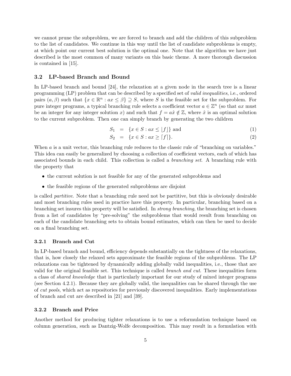we cannot prune the subproblem, we are forced to branch and add the children of this subproblem to the list of candidates. We continue in this way until the list of candidate subproblems is empty, at which point our current best solution is the optimal one. Note that the algorithm we have just described is the most common of many variants on this basic theme. A more thorough discussion is contained in [15].

### **3.2 LP-based Branch and Bound**

In LP-based branch and bound [24], the relaxation at a given node in the search tree is a linear programming (LP) problem that can be described by a specified set of *valid inequalities*, i.e., ordered pairs  $(a, \beta)$  such that  $\{x \in \mathbb{R}^n : ax \leq \beta\} \supseteq S$ , where *S* is the feasible set for the subproblem. For pure integer programs, a typical branching rule selects a coefficient vector  $a \in \mathbb{Z}^n$  (so that  $ax$  must be an integer for any integer solution x) and such that  $f = a\hat{x} \notin \mathbb{Z}$ , where  $\hat{x}$  is an optimal solution to the current subproblem. Then one can simply branch by generating the two children

$$
S_1 = \{x \in S : ax \le \lfloor f \rfloor\} \text{ and } (1)
$$

$$
S_2 = \{ x \in S : ax \ge [f] \}. \tag{2}
$$

When *a* is a unit vector, this branching rule reduces to the classic rule of "branching on variables." This idea can easily be generalized by choosing a collection of coefficient vectors, each of which has associated bounds in each child. This collection is called a *branching set*. A branching rule with the property that

- the current solution is not feasible for any of the generated subproblems and
- the feasible regions of the generated subproblems are disjoint

is called *partitive*. Note that a branching rule need not be partitive, but this is obviously desirable and most branching rules used in practice have this property. In particular, branching based on a branching set insures this property will be satisfied. In *strong branching*, the branching set is chosen from a list of candidates by "pre-solving" the subproblems that would result from branching on each of the candidate branching sets to obtain bound estimates, which can then be used to decide on a final branching set.

#### **3.2.1 Branch and Cut**

In LP-based branch and bound, efficiency depends substantially on the tightness of the relaxations, that is, how closely the relaxed sets approximate the feasible regions of the subproblems. The LP relaxations can be tightened by dynamically adding globally valid inequalities, i.e., those that are valid for the original feasible set. This technique is called *branch and cut*. These inequalities form a class of *shared knowledge* that is particularly important for our study of mixed integer programs (see Section 4.2.1). Because they are globally valid, the inequalities can be shared through the use of *cut pools*, which act as repositories for previously discovered inequalities. Early implementations of branch and cut are described in [21] and [39].

#### **3.2.2 Branch and Price**

Another method for producing tighter relaxations is to use a reformulation technique based on column generation, such as Dantzig-Wolfe decomposition. This may result in a formulation with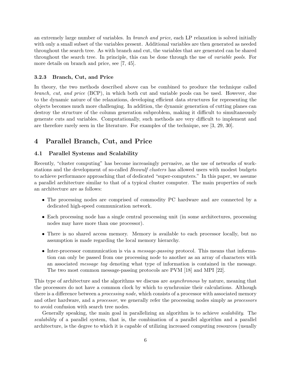an extremely large number of variables. In *branch and price*, each LP relaxation is solved initially with only a small subset of the variables present. Additional variables are then generated as needed throughout the search tree. As with branch and cut, the variables that are generated can be shared throughout the search tree. In principle, this can be done through the use of *variable pools*. For more details on branch and price, see [7, 45].

### **3.2.3 Branch, Cut, and Price**

In theory, the two methods described above can be combined to produce the technique called *branch, cut, and price* (BCP), in which both cut and variable pools can be used. However, due to the dynamic nature of the relaxations, developing efficient data structures for representing the objects becomes much more challenging. In addition, the dynamic generation of cutting planes can destroy the structure of the column generation subproblem, making it difficult to simultaneously generate cuts and variables. Computationally, such methods are very difficult to implement and are therefore rarely seen in the literature. For examples of the technique, see [3, 29, 30].

### **4 Parallel Branch, Cut, and Price**

### **4.1 Parallel Systems and Scalability**

Recently, "cluster computing" has become increasingly pervasive, as the use of networks of workstations and the development of so-called *Beowulf clusters* has allowed users with modest budgets to achieve performance approaching that of dedicated "super-computers." In this paper, we assume a parallel architecture similar to that of a typical cluster computer. The main properties of such an architecture are as follows:

- The processing nodes are comprised of commodity PC hardware and are connected by a dedicated high-speed communication network.
- *•* Each processing node has a single central processing unit (in some architectures, processing nodes may have more than one processor).
- There is no shared access memory. Memory is available to each processor locally, but no assumption is made regarding the local memory hierarchy.
- *•* Inter-processor communication is via a *message-passing* protocol. This means that information can only be passed from one processing node to another as an array of characters with an associated *message tag* denoting what type of information is contained in the message. The two most common message-passing protocols are PVM [18] and MPI [22].

This type of architecture and the algorithms we discuss are *asynchronous* by nature, meaning that the processors do not have a common clock by which to synchronize their calculations. Although there is a difference between a *processing node*, which consists of a processor with associated memory and other hardware, and a *processor*, we generally refer the processing nodes simply as *processors* to avoid confusion with search tree nodes.

Generally speaking, the main goal in parallelizing an algorithm is to achieve *scalability*. The *scalability* of a parallel system, that is, the combination of a parallel algorithm and a parallel architecture, is the degree to which it is capable of utilizing increased computing resources (usually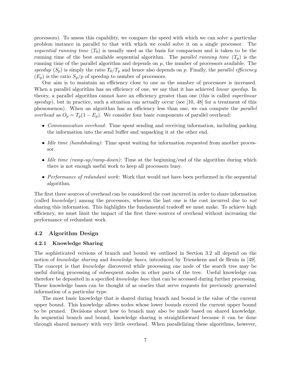processors). To assess this capability, we compare the speed with which we can solve a particular problem instance in parallel to that with which we could solve it on a single processor. The *sequential running time*  $(T_0)$  is usually used as the basis for comparison and is taken to be the running time of the best available sequential algorithm. The *parallel running time*  $(T_p)$  is the running time of the parallel algorithm and depends on *p*, the number of processors available. The *speedup*  $(S_p)$  is simply the ratio  $T_0/T_p$  and hence also depends on *p*. Finally, the *parallel efficiency*  $(E_p)$  is the ratio  $S_p/p$  of speedup to number of processors.

Our aim is to maintain an efficiency close to one as the number of processors is increased. When a parallel algorithm has an efficiency of one, we say that it has achieved *linear speedup*. In theory, a parallel algorithm cannot have an efficiency greater than one (this is called *superlinear* speedup), but in practice, such a situation can actually occur (see [10, 48] for a treatment of this phenomenon). When an algorithm has an efficiency less than one, we can compute the *parallel overhead* as  $O_p = T_p(1 - E_p)$ . We consider four basic components of parallel overhead:

- *Communication overhead*: Time spent sending and receiving information, including packing the information into the send buffer and unpacking it at the other end.
- *Idle time (handshaking)*: Time spent waiting for information requested from another processor.
- *Idle time (ramp-up/ramp-down)*: Time at the beginning/end of the algorithm during which there is not enough useful work to keep all processors busy.
- *Performance of redundant work*: Work that would not have been performed in the sequential algorithm.

The first three sources of overhead can be considered the cost incurred in order to share information (called *knowledge*) among the processors, whereas the last one is the cost incurred due to *not* sharing this information. This highlights the fundamental tradeoff we must make. To achieve high efficiency, we must limit the impact of the first three sources of overhead without increasing the performance of redundant work.

### **4.2 Algorithm Design**

### **4.2.1 Knowledge Sharing**

The sophisticated versions of branch and bound we outlined in Section 3.2 all depend on the notion of *knowledge sharing* and *knowledge bases*, introduced by Trienekens and de Bruin in [49]. The concept is that *knowledge* discovered while processing one node of the search tree may be useful during processing of subsequent nodes in other parts of the tree. Useful knowledge can therefore be deposited in a specified *knowledge base* that can be accessed during further processing. These knowledge bases can be thought of as oracles that serve requests for previously generated information of a particular type.

The most basic knowledge that is shared during branch and bound is the value of the current upper bound. This knowledge allows nodes whose lower bounds exceed the current upper bound to be pruned. Decisions about how to branch may also be made based on shared knowledge. In sequential branch and bound, knowledge sharing is straightforward because it can be done through shared memory with very little overhead. When parallelizing these algorithms, however,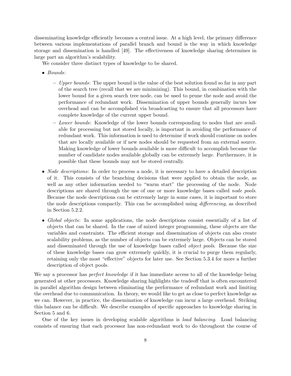disseminating knowledge efficiently becomes a central issue. At a high level, the primary difference between various implementations of parallel branch and bound is the way in which knowledge storage and dissemination is handled [49]. The effectiveness of knowledge sharing determines in large part an algorithm's scalability.

We consider three distinct types of knowledge to be shared.

- *• Bounds*:
	- **–** *Upper bounds*: The upper bound is the value of the best solution found so far in any part of the search tree (recall that we are minimizing). This bound, in combination with the lower bound for a given search tree node, can be used to prune the node and avoid the performance of redundant work. Dissemination of upper bounds generally incurs low overhead and can be accomplished via broadcasting to ensure that all processors have complete knowledge of the current upper bound.
	- **–** *Lower bounds*: Knowledge of the lower bounds corresponding to nodes that are available for processing but not stored locally, is important in avoiding the performance of redundant work. This information is used to determine if work should continue on nodes that are locally available or if new nodes should be requested from an external source. Making knowledge of lower bounds available is more difficult to accomplish because the number of candidate nodes available globally can be extremely large. Furthermore, it is possible that these bounds may not be stored centrally.
- *Node descriptions*: In order to process a node, it is necessary to have a detailed description of it. This consists of the branching decisions that were applied to obtain the node, as well as any other information needed to "warm start" the processing of the node. Node descriptions are shared through the use of one or more knowledge bases called *node pools*. Because the node descriptions can be extremely large in some cases, it is important to store the node descriptions compactly. This can be accomplished using *differencing*, as described in Section 5.2.2.
- *Global objects*: In some applications, the node descriptions consist essentially of a list of objects that can be shared. In the case of mixed integer programming, these objects are the variables and constraints. The efficient storage and dissemination of objects can also create scalability problems, as the number of objects can be extremely large. Objects can be stored and disseminated through the use of knowledge bases called *object pools*. Because the size of these knowledge bases can grow extremely quickly, it is crucial to purge them regularly, retaining only the most "effective" objects for later use. See Section 5.3.4 for more a further description of object pools.

We say a processor has *perfect knowledge* if it has immediate access to all of the knowledge being generated at other processors. Knowledge sharing highlights the tradeoff that is often encountered in parallel algorithm design between eliminating the performance of redundant work and limiting the overhead due to communication. In theory, we would like to get as close to perfect knowledge as we can. However, in practice, the dissemination of knowledge can incur a large overhead. Striking this balance can be difficult. We describe examples of specific approaches to knowledge sharing in Section 5 and 6.

One of the key issues in developing scalable algorithms is *load balancing*. Load balancing consists of ensuring that each processor has non-redundant work to do throughout the course of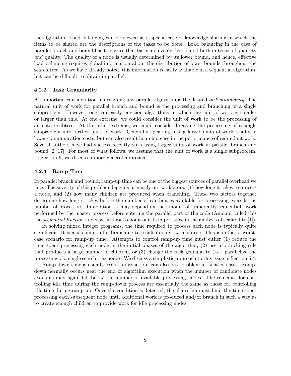the algorithm. Load balancing can be viewed as a special case of knowledge sharing in which the items to be shared are the descriptions of the tasks to be done. Load balancing in the case of parallel branch and bound has to ensure that tasks are evenly distributed both in terms of quantity *and* quality. The quality of a node is usually determined by its lower bound, and hence, effective load balancing requires global information about the distribution of lower bounds throughout the search tree. As we have already noted, this information is easily available in a sequential algorithm, but can be difficult to obtain in parallel.

#### **4.2.2 Task Granularity**

An important consideration in designing any parallel algorithm is the desired *task granularity*. The natural unit of work for parallel branch and bound is the processing and branching of a single subproblem. However, one can easily envision algorithms in which the unit of work is smaller or larger than this. At one extreme, we could consider the unit of work to be the processing of an entire subtree. At the other extreme, we could consider breaking the processing of a single subproblem into further units of work. Generally speaking, using larger units of work results in lower communication costs, but can also result in an increase in the performance of redundant work. Several authors have had success recently with using larger units of work in parallel branch and bound [2, 17]. For most of what follows, we assume that the unit of work is a single subproblem. In Section 6, we discuss a more general approach.

### **4.2.3 Ramp Time**

In parallel branch and bound, ramp-up time can be one of the biggest sources of parallel overhead we face. The severity of this problem depends primarily on two factors: (1) how long it takes to process a node, and (2) how many children are produced when branching. These two factors together determine how long it takes before the number of candidates available for processing exceeds the number of processors. In addition, it may depend on the amount of "inherently sequential" work performed by the master process before entering the parallel part of the code (Amdahl called this the *sequential fraction* and was the first to point out its importance in the analysis of scalability [1]).

In solving mixed integer programs, the time required to process each node is typically quite significant. It is also common for branching to result in only two children. This is in fact a worstcase scenario for ramp-up time. Attempts to control ramp-up time must either (1) reduce the time spent processing each node in the initial phases of the algorithm, (2) use a branching rule that produces a large number of children, or (3) change the task granularity (i.e., parallelize the processing of a single search tree node). We discuss a simplistic approach to this issue in Section 5.4.

Ramp-down time is usually less of an issue, but can also be a problem in isolated cases. Rampdown normally occurs near the end of algorithm execution when the number of candidate nodes available may again fall below the number of available processing nodes. The remedies for controlling idle time during the ramp-down process are essentially the same as those for controlling idle time during ramp-up. Once the condition is detected, the algorithm must limit the time spent processing each subsequent node until additional work is produced and/or branch in such a way as to create enough children to provide work for idle processing nodes.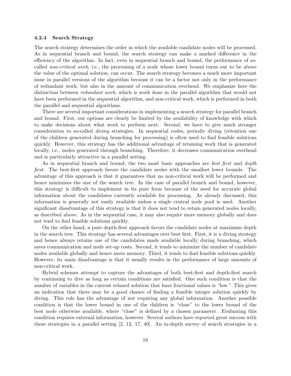### **4.2.4 Search Strategy**

The search strategy determines the order in which the available candidate nodes will be processed. As in sequential branch and bound, the search strategy can make a marked difference in the efficiency of the algorithm. In fact, even in sequential branch and bound, the performance of socalled *non-critical work*, i.e., the processing of a node whose lower bound turns out to be above the value of the optimal solution, can occur. The search strategy becomes a much more important issue in parallel versions of the algorithm because it can be a factor not only in the performance of redundant work, but also in the amount of communication overhead. We emphasize here the distinction between *redundant work*, which is work done in the parallel algorithm that would not have been performed in the sequential algorithm, and non-critical work, which is performed in both the parallel and sequential algorithms.

There are several important considerations in implementing a search strategy for parallel branch and bound. First, our options are clearly be limited by the availability of knowledge with which to make decisions about what work to perform next. Second, we have to give much stronger consideration to so-called *diving* strategies. In sequential codes, periodic diving (retention one of the children generated during branching for processing) is often used to find feasible solutions quickly. However, this strategy has the additional advantage of retaining work that is generated locally, i.e., nodes generated through branching. Therefore, it decreases communication overhead and is particularly attractive in a parallel setting.

As in sequential branch and bound, the two most basic approaches are *best first* and *depth first*. The best-first approach favors the candidate nodes with the smallest lower bounds. The advantage of this approach is that it guarantees that no non-critical work will be performed and hence minimizes the size of the search tree. In the case of parallel branch and bound, however, this strategy is difficult to implement in its pure form because of the need for accurate global information about the candidates currently available for processing. As already discussed, this information is generally not easily available unless a single central node pool is used. Another significant disadvantage of this strategy is that it does not tend to retain generated nodes locally, as described above. As in the sequential case, it may also require more memory globally and does not tend to find feasible solutions quickly.

On the other hand, a pure depth-first approach favors the candidate nodes at maximum depth in the search tree. This strategy has several advantages over best first. First, it is a diving strategy and hence always retains one of the candidates made available locally during branching, which saves communication and node set-up costs. Second, it tends to minimize the number of candidate nodes available globally and hence saves memory. Third, it tends to find feasible solutions quickly. However, its main disadvantage is that it usually results in the performance of large amounts of non-critical work.

Hybrid schemes attempt to capture the advantages of both best-first and depth-first search by continuing to dive as long as certain conditions are satisfied. One such condition is that the number of variables in the current relaxed solution that have fractional values is "low." This gives an indication that there may be a good chance of finding a feasible integer solution quickly by diving. This rule has the advantage of not requiring any global information. Another possible condition is that the lower bound in one of the children is "close" to the lower bound of the best node otherwise available, where "close" is defined by a chosen parameter. Evaluating this condition requires external information, however. Several authors have reported great success with these strategies in a parallel setting [2, 12, 17, 40]. An in-depth survey of search strategies in a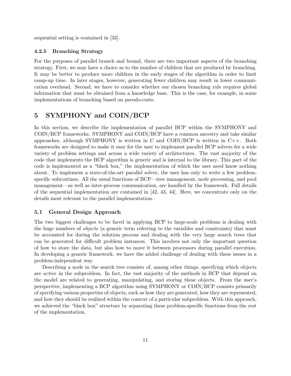sequential setting is contained in [33].

### **4.2.5 Branching Strategy**

For the purposes of parallel branch and bound, there are two important aspects of the branching strategy. First, we may have a choice as to the number of children that are produced by branching. It may be better to produce more children in the early stages of the algorithm in order to limit ramp-up time. In later stages, however, generating fewer children may result in lower communication overhead. Second, we have to consider whether our chosen branching rule requires global information that must be obtained from a knowledge base. This is the case, for example, in some implementations of branching based on pseudo-costs.

### **5 SYMPHONY and COIN/BCP**

In this section, we describe the implementation of parallel BCP within the SYMPHONY and COIN/BCP frameworks. SYMPHONY and COIN/BCP have a common ancestry and take similar approaches, although SYMPHONY is written in C and COIN/BCP is written in  $C_{++}$ . Both frameworks are designed to make it easy for the user to implement parallel BCP solvers for a wide variety of problem settings and across a wide variety of architectures. The vast majority of the code that implements the BCP algorithm is generic and is internal to the library. This part of the code is implemented as a "black box," the implementation of which the user need know nothing about. To implement a state-of-the-art parallel solver, the user has only to write a few problemspecific subroutines. All the usual functions of BCP—tree management, node processing, and pool management—as well as inter-process communication, are handled by the framework. Full details of the sequential implementation are contained in  $[42, 43, 44]$ . Here, we concentrate only on the details most relevant to the parallel implementation.

### **5.1 General Design Approach**

The two biggest challenges to be faced in applying BCP to large-scale problems is dealing with the huge numbers of *objects* (a generic term referring to the variables and constraints) that must be accounted for during the solution process and dealing with the very large search trees that can be generated for difficult problem instances. This involves not only the important question of how to store the data, but also how to move it between processors during parallel execution. In developing a generic framework, we have the added challenge of dealing with these issues in a problem-independent way.

Describing a node in the search tree consists of, among other things, specifying which objects are *active* in the subproblem. In fact, the vast majority of the methods in BCP that depend on the model are related to generating, manipulating, and storing these objects. From the user's perspective, implementing a BCP algorithm using SYMPHONY or COIN/BCP consists primarily of specifying various properties of objects, such as how they are generated, how they are represented, and how they should be realized within the context of a particular subproblem. With this approach, we achieved the "black box" structure by separating these problem-specific functions from the rest of the implementation.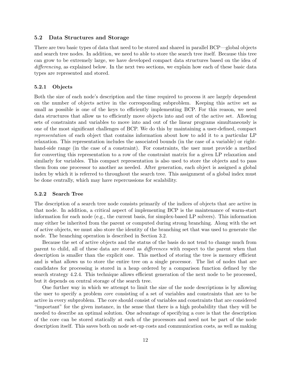### **5.2 Data Structures and Storage**

There are two basic types of data that need to be stored and shared in parallel BCP—global objects and search tree nodes. In addition, we need to able to store the search tree itself. Because this tree can grow to be extremely large, we have developed compact data structures based on the idea of *differencing*, as explained below. In the next two sections, we explain how each of these basic data types are represented and stored.

### **5.2.1 Objects**

Both the size of each node's description and the time required to process it are largely dependent on the number of objects active in the corresponding subproblem. Keeping this active set as small as possible is one of the keys to efficiently implementing BCP. For this reason, we need data structures that allow us to efficiently move objects into and out of the active set. Allowing sets of constraints and variables to move into and out of the linear programs simultaneously is one of the most significant challenges of BCP. We do this by maintaining a user-defined, compact *representation* of each object that contains information about how to add it to a particular LP relaxation. This representation includes the associated bounds (in the case of a variable) or righthand-side range (in the case of a constraint). For constraints, the user must provide a method for converting this representation to a row of the constraint matrix for a given LP relaxation and similarly for variables. This compact representation is also used to store the objects and to pass them from one processor to another as needed. After generation, each object is assigned a global index by which it is referred to throughout the search tree. This assignment of a global index must be done centrally, which may have repercussions for scalability.

### **5.2.2 Search Tree**

The description of a search tree node consists primarily of the indices of objects that are active in that node. In addition, a critical aspect of implementing BCP is the maintenance of warm-start information for each node (e.g., the current basis, for simplex-based LP solvers). This information may either be inherited from the parent or computed during strong branching. Along with the set of active objects, we must also store the identity of the branching set that was used to generate the node. The branching operation is described in Section 3.2.

Because the set of active objects and the status of the basis do not tend to change much from parent to child, all of these data are stored as *differences* with respect to the parent when that description is smaller than the explicit one. This method of storing the tree is memory efficient and is what allows us to store the entire tree on a single processor. The list of nodes that are candidates for processing is stored in a heap ordered by a comparison function defined by the search strategy 4.2.4. This technique allows efficient generation of the next node to be processed, but it depends on central storage of the search tree.

One further way in which we attempt to limit the size of the node descriptions is by allowing the user to specify a problem *core* consisting of a set of variables and constraints that are to be active in every subproblem. The core should consist of variables and constraints that are considered "important" for the given instance, in the sense that there is a high probability that they will be needed to describe an optimal solution. One advantage of specifying a core is that the description of the core can be stored statically at each of the processors and need not be part of the node description itself. This saves both on node set-up costs and communication costs, as well as making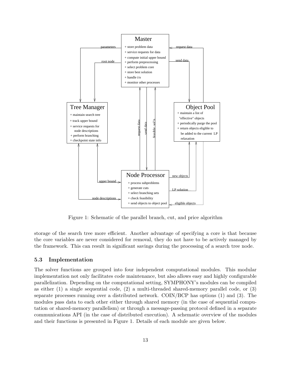

Figure 1: Schematic of the parallel branch, cut, and price algorithm

storage of the search tree more efficient. Another advantage of specifying a core is that because the core variables are never considered for removal, they do not have to be actively managed by the framework. This can result in significant savings during the processing of a search tree node.

### **5.3 Implementation**

The solver functions are grouped into four independent computational modules. This modular implementation not only facilitates code maintenance, but also allows easy and highly configurable parallelization. Depending on the computational setting, SYMPHONY's modules can be compiled as either  $(1)$  a single sequential code,  $(2)$  a multi-threaded shared-memory parallel code, or  $(3)$ separate processes running over a distributed network. COIN/BCP has options (1) and (3). The modules pass data to each other either through shared memory (in the case of sequential computation or shared-memory parallelism) or through a message-passing protocol defined in a separate communications API (in the case of distributed execution). A schematic overview of the modules and their functions is presented in Figure 1. Details of each module are given below.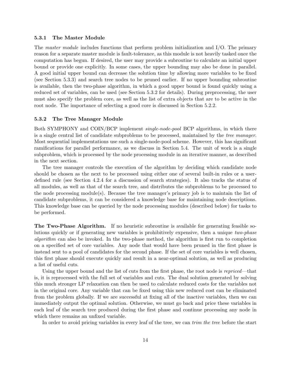### **5.3.1 The Master Module**

The *master module* includes functions that perform problem initialization and I/O. The primary reason for a separate master module is fault-tolerance, as this module is not heavily tasked once the computation has begun. If desired, the user may provide a subroutine to calculate an initial upper bound or provide one explicitly. In some cases, the upper bounding may also be done in parallel. A good initial upper bound can decrease the solution time by allowing more variables to be fixed (see Section 5.3.3) and search tree nodes to be pruned earlier. If no upper bounding subroutine is available, then the two-phase algorithm, in which a good upper bound is found quickly using a reduced set of variables, can be used (see Section 5.3.2 for details). During preprocessing, the user must also specify the problem core, as well as the list of extra objects that are to be active in the root node. The importance of selecting a good core is discussed in Section 5.2.2.

### **5.3.2 The Tree Manager Module**

Both SYMPHONY and COIN/BCP implement *single-node-pool* BCP algorithms, in which there is a single central list of candidate subproblems to be processed, maintained by the *tree manager*. Most sequential implementations use such a single-node-pool scheme. However, this has significant ramifications for parallel performance, as we discuss in Section 5.4. The unit of work is a single subproblem, which is processed by the node processing module in an iterative manner, as described in the next section.

The tree manager controls the execution of the algorithm by deciding which candidate node should be chosen as the next to be processed using either one of several built-in rules or a userdefined rule (see Section 4.2.4 for a discussion of search strategies). It also tracks the status of all modules, as well as that of the search tree, and distributes the subproblems to be processed to the node processing module(s). Because the tree manager's primary job is to maintain the list of candidate subproblems, it can be considered a knowledge base for maintaining node descriptions. This knowledge base can be queried by the node processing modules (described below) for tasks to be performed.

The Two-Phase Algorithm. If no heuristic subroutine is available for generating feasible solutions quickly or if generating new variables is prohibitively expensive, then a unique *two-phase algorithm* can also be invoked. In the two-phase method, the algorithm is first run to completion on a specified set of core variables. Any node that would have been pruned in the first phase is instead sent to a pool of candidates for the second phase. If the set of core variables is well chosen, this first phase should execute quickly and result in a near-optimal solution, as well as producing a list of useful cuts.

Using the upper bound and the list of cuts from the first phase, the root node is *repriced*—that is, it is reprocessed with the full set of variables and cuts. The dual solution generated by solving this much stronger LP relaxation can then be used to calculate reduced costs for the variables not in the original core. Any variable that can be fixed using this new reduced cost can be eliminated from the problem globally. If we are successful at fixing all of the inactive variables, then we can immediately output the optimal solution. Otherwise, we must go back and price these variables in each leaf of the search tree produced during the first phase and continue processing any node in which there remains an unfixed variable.

In order to avoid pricing variables in every leaf of the tree, we can *trim the tree* before the start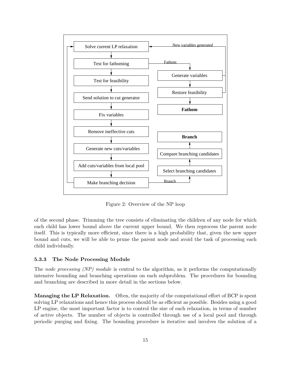

Figure 2: Overview of the NP loop

of the second phase. Trimming the tree consists of eliminating the children of any node for which each child has lower bound above the current upper bound. We then reprocess the parent node itself. This is typically more efficient, since there is a high probability that, given the new upper bound and cuts, we will be able to prune the parent node and avoid the task of processing each child individually.

### **5.3.3 The Node Processing Module**

The *node processing (NP) module* is central to the algorithm, as it performs the computationally intensive bounding and branching operations on each subproblem. The procedures for bounding and branching are described in more detail in the sections below.

**Managing the LP Relaxation.** Often, the majority of the computational effort of BCP is spent solving LP relaxations and hence this process should be as efficient as possible. Besides using a good LP engine, the most important factor is to control the size of each relaxation, in terms of number of active objects. The number of objects is controlled through use of a local pool and through periodic purging and fixing. The bounding procedure is iterative and involves the solution of a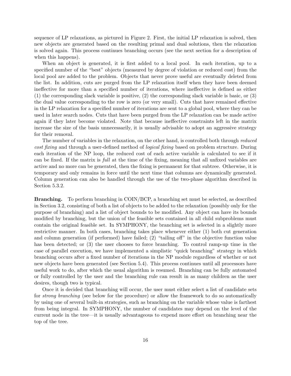sequence of LP relaxations, as pictured in Figure 2. First, the initial LP relaxation is solved, then new objects are generated based on the resulting primal and dual solutions, then the relaxation is solved again. This process continues branching occurs (see the next section for a description of when this happens).

When an object is generated, it is first added to a local pool. In each iteration, up to a specified number of the "best" objects (measured by degree of violation or reduced cost) from the local pool are added to the problem. Objects that never prove useful are eventually deleted from the list. In addition, cuts are purged from the LP relaxation itself when they have been deemed ineffective for more than a specified number of iterations, where ineffective is defined as either (1) the corresponding slack variable is positive, (2) the corresponding slack variable is basic, or (3) the dual value corresponding to the row is zero (or very small). Cuts that have remained effective in the LP relaxation for a specified number of iterations are sent to a global pool, where they can be used in later search nodes. Cuts that have been purged from the LP relaxation can be made active again if they later become violated. Note that because ineffective constraints left in the matrix increase the size of the basis unnecessarily, it is usually advisable to adopt an aggressive strategy for their removal.

The number of variables in the relaxation, on the other hand, is controlled both through *reduced cost fixing* and through a user-defined method of *logical fixing* based on problem structure. During each iteration of the NP loop, the reduced cost of each active variable is calculated to see if it can be fixed. If the matrix is *full* at the time of the fixing, meaning that all unfixed variables are active and no more can be generated, then the fixing is permanent for that subtree. Otherwise, it is temporary and only remains in force until the next time that columns are dynamically generated. Column generation can also be handled through the use of the two-phase algorithm described in Section 5.3.2.

**Branching.** To perform branching in COIN/BCP, a branching set must be selected, as described in Section 3.2, consisting of both a list of objects to be added to the relaxation (possibly only for the purpose of branching) and a list of object bounds to be modified. Any object can have its bounds modified by branching, but the union of the feasible sets contained in all child subproblems must contain the original feasible set. In SYMPHONY, the branching set is selected in a slightly more restrictive manner. In both cases, branching takes place whenever either (1) both cut generation and column generation (if performed) have failed; (2) "tailing off" in the objective function value has been detected; or (3) the user chooses to force branching. To control ramp-up time in the case of parallel execution, we have implemented a simplistic "quick branching" strategy in which branching occurs after a fixed number of iterations in the NP module regardless of whether or not new objects have been generated (see Section 5.4). This process continues until all processors have useful work to do, after which the usual algorithm is resumed. Branching can be fully automated or fully controlled by the user and the branching rule can result in as many children as the user desires, though two is typical.

Once it is decided that branching will occur, the user must either select a list of candidate sets for *strong branching* (see below for the procedure) or allow the framework to do so automatically by using one of several built-in strategies, such as branching on the variable whose value is farthest from being integral. In SYMPHONY, the number of candidates may depend on the level of the current node in the tree—it is usually advantageous to expend more effort on branching near the top of the tree.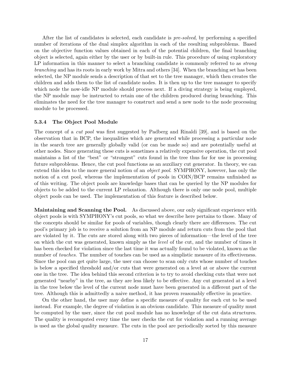After the list of candidates is selected, each candidate is *pre-solved*, by performing a specified number of iterations of the dual simplex algorithm in each of the resulting subproblems. Based on the objective function values obtained in each of the potential children, the final branching object is selected, again either by the user or by built-in rule. This procedure of using exploratory LP information in this manner to select a branching candidate is commonly referred to as *strong branching* and has its roots in early work by Mitra and others [34]. When the branching set has been selected, the NP module sends a description of that set to the tree manager, which then creates the children and adds them to the list of candidate nodes. It is then up to the tree manager to specify which node the now-idle NP module should process next. If a diving strategy is being employed, the NP module may be instructed to retain one of the children produced during branching. This eliminates the need for the tree manager to construct and send a new node to the node processing module to be processed.

#### **5.3.4 The Object Pool Module**

The concept of a *cut pool* was first suggested by Padberg and Rinaldi [39], and is based on the observation that in BCP, the inequalities which are generated while processing a particular node in the search tree are generally globally valid (or can be made so) and are potentially useful at other nodes. Since generating these cuts is sometimes a relatively expensive operation, the cut pool maintains a list of the "best" or "strongest" cuts found in the tree thus far for use in processing future subproblems. Hence, the cut pool functions as an auxiliary cut generator. In theory, we can extend this idea to the more general notion of an *object pool*. SYMPHONY, however, has only the notion of a cut pool, whereas the implementation of pools in COIN/BCP remains unfinished as of this writing. The object pools are knowledge bases that can be queried by the NP modules for objects to be added to the current LP relaxation. Although there is only one node pool, multiple object pools can be used. The implementation of this feature is described below.

**Maintaining and Scanning the Pool.** As discussed above, our only significant experience with object pools is with SYMPHONY's cut pools, so what we describe here pertains to those. Many of the concepts should be similar for pools of variables, though clearly there are differences. The cut pool's primary job is to receive a solution from an NP module and return cuts from the pool that are violated by it. The cuts are stored along with two pieces of information—the level of the tree on which the cut was generated, known simply as the *level* of the cut, and the number of times it has been checked for violation since the last time it was actually found to be violated, known as the number of *touches*. The number of touches can be used as a simplistic measure of its effectiveness. Since the pool can get quite large, the user can choose to scan only cuts whose number of touches is below a specified threshold and/or cuts that were generated on a level at or above the current one in the tree. The idea behind this second criterion is to try to avoid checking cuts that were not generated "nearby" in the tree, as they are less likely to be effective. Any cut generated at a level in the tree below the level of the current node must have been generated in a different part of the tree. Although this is admittedly a naive method, it has proven reasonably effective in practice.

On the other hand, the user may define a specific measure of quality for each cut to be used instead. For example, the degree of violation is an obvious candidate. This measure of quality must be computed by the user, since the cut pool module has no knowledge of the cut data structures. The quality is recomputed every time the user checks the cut for violation and a running average is used as the global quality measure. The cuts in the pool are periodically sorted by this measure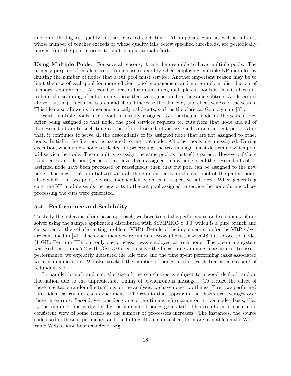and only the highest quality cuts are checked each time. All duplicate cuts, as well as all cuts whose number of touches exceeds or whose quality falls below specified thresholds, are periodically purged from the pool in order to limit computational effort.

**Using Multiple Pools.** For several reasons, it may be desirable to have multiple pools. The primary purpose of this feature is to increase scalability when employing multiple NP modules by limiting the number of nodes that a cut pool must service. Another important reason may be to limit the size of each pool for more efficient pool management and more uniform distribution of memory requirements. A secondary reason for maintaining multiple cut pools is that it allows us to limit the scanning of cuts to only those that were generated in the same subtree. As described above, this helps focus the search and should increase the efficiency and effectiveness of the search. This idea also allows us to generate locally valid cuts, such as the classical Gomory cuts [37].

With multiple pools, each pool is initially assigned to a particular node in the search tree. After being assigned to that node, the pool services requests for cuts from that node and all of its descendants until such time as one of its descendants is assigned to another cut pool. After that, it continues to serve all the descendants of its assigned node that are not assigned to other pools. Initially, the first pool is assigned to the root node. All other pools are unassigned. During execution, when a new node is selected for processing, the tree manager must determine which pool will service the node. The default is to assign the same pool as that of its parent. However, if there is currently an idle pool (either it has never been assigned to any node or all the descendants of its assigned node have been processed or reassigned), then that cut pool can be assigned to the new node. The new pool is initialized with all the cuts currently in the cut pool of the parent node, after which the two pools operate independently on their respective subtrees. When generating cuts, the NP module sends the new cuts to the cut pool assigned to service the node during whose processing the cuts were generated.

### **5.4 Performance and Scalability**

To study the behavior of our basic approach, we have tested the performance and scalability of our solver using the sample application distributed with SYMPHONY 3.0, which is a pure branch and cut solver for the vehicle routing problem (VRP). Details of the implementation for the VRP solver are contained in [41]. The experiments were run on a Beowulf cluster with 48 dual-processor nodes (1 GHz Pentium III), but only one processor was employed at each node. The operating system was Red Hat Linux 7.2 with OSL 3.0 used to solve the linear programming relaxations. To assess performance, we explicitly measured the idle time and the time spent performing tasks associated with communication. We also tracked the number of nodes in the search tree as a measure of redundant work.

In parallel branch and cut, the size of the search tree is subject to a good deal of random fluctuation due to the unpredictable timing of asynchronous messages. To reduce the effect of these inevitable random fluctuations on the analysis, we have done two things. First, we performed three identical runs of each experiment. The results that appear in the charts are averages over these three runs. Second, we consider some of the timing information on a "per node" basis, that is, the running time is divided by the number of nodes generated. This results in a much more consistent view of some trends as the number of processors increases. The instances, the source code used in these experiments, and the full results in spreadsheet form are available on the World Wide Web at www.branchandcut.org.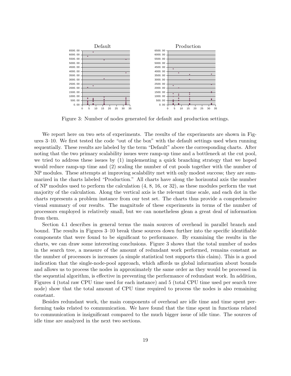

Figure 3: Number of nodes generated for default and production settings.

We report here on two sets of experiments. The results of the experiments are shown in Figures 3–10. We first tested the code "out of the box" with the default settings used when running sequentially. These results are labeled by the term "Default" above the corresponding charts. After noting that the two primary scalability issues were ramp-up time and a bottleneck at the cut pool, we tried to address these issues by (1) implementing a quick branching strategy that we hoped would reduce ramp-up time and (2) scaling the number of cut pools together with the number of NP modules. These attempts at improving scalability met with only modest success; they are summarized in the charts labeled "Production." All charts have along the horizontal axis the number of NP modules used to perform the calculation (4, 8, 16, or 32), as these modules perform the vast majority of the calculation. Along the vertical axis is the relevant time scale, and each dot in the charts represents a problem instance from our test set. The charts thus provide a comprehensive visual summary of our results. The magnitude of these experiments in terms of the number of processors employed is relatively small, but we can nonetheless glean a great deal of information from them.

Section 4.1 describes in general terms the main sources of overhead in parallel branch and bound. The results in Figures 3–10 break these sources down further into the specific identifiable components that were found to be significant to performance. By examining the results in the charts, we can draw some interesting conclusions. Figure 3 shows that the total number of nodes in the search tree, a measure of the amount of redundant work performed, remains constant as the number of processors is increases (a simple statistical test supports this claim). This is a good indication that the single-node-pool approach, which affords us global information about bounds and allows us to process the nodes in approximately the same order as they would be processed in the sequential algorithm, is effective in preventing the performance of redundant work. In addition, Figures 4 (total raw CPU time used for each instance) and 5 (total CPU time used per search tree node) show that the total amount of CPU time required to process the nodes is also remaining constant.

Besides redundant work, the main components of overhead are idle time and time spent performing tasks related to communication. We have found that the time spent in functions related to communication is insignificant compared to the much bigger issue of idle time. The sources of idle time are analyzed in the next two sections.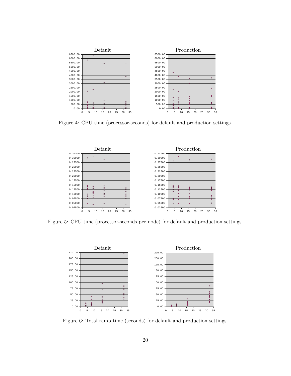

Figure 4: CPU time (processor-seconds) for default and production settings.



Figure 5: CPU time (processor-seconds per node) for default and production settings.



Figure 6: Total ramp time (seconds) for default and production settings.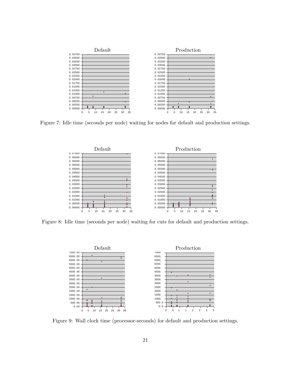

Figure 7: Idle time (seconds per node) waiting for nodes for default and production settings.



Figure 8: Idle time (seconds per node) waiting for cuts for default and production settings.



Figure 9: Wall clock time (processor-seconds) for default and production settings.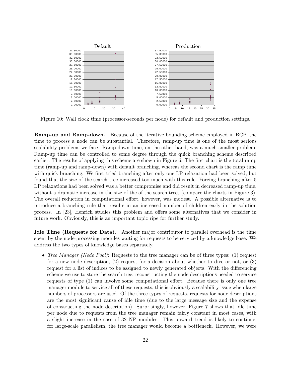

Figure 10: Wall clock time (processor-seconds per node) for default and production settings.

**Ramp-up and Ramp-down.** Because of the iterative bounding scheme employed in BCP, the time to process a node can be substantial. Therefore, ramp-up time is one of the most serious scalability problems we face. Ramp-down time, on the other hand, was a much smaller problem. Ramp-up time can be controlled to some degree through the quick branching scheme described earlier. The results of applying this scheme are shown in Figure 6. The first chart is the total ramp time (ramp-up and ramp-down) with default branching, whereas the second chart is the ramp time with quick branching. We first tried branching after only one LP relaxation had been solved, but found that the size of the search tree increased too much with this rule. Forcing branching after 5 LP relaxations had been solved was a better compromise and did result in decreased ramp-up time, without a dramatic increase in the size of the of the search trees (compare the charts in Figure 3). The overall reduction in computational effort, however, was modest. A possible alternative is to introduce a branching rule that results in an increased number of children early in the solution process. In [23], Henrich studies this problem and offers some alternatives that we consider in future work. Obviously, this is an important topic ripe for further study.

**Idle Time (Requests for Data).** Another major contributor to parallel overhead is the time spent by the node-processing modules waiting for requests to be serviced by a knowledge base. We address the two types of knowledge bases separately.

• *Tree Manager (Node Pool)*: Requests to the tree manager can be of three types: (1) request for a new node description, (2) request for a decision about whether to dive or not, or (3) request for a list of indices to be assigned to newly generated objects. With the differencing scheme we use to store the search tree, reconstructing the node descriptions needed to service requests of type (1) can involve some computational effort. Because there is only one tree manager module to service all of these requests, this is obviously a scalability issue when large numbers of processors are used. Of the three types of requests, requests for node descriptions are the most significant cause of idle time (due to the large message size and the expense of constructing the node description). Surprisingly, however, Figure 7 shows that idle time per node due to requests from the tree manager remain fairly constant in most cases, with a slight increase in the case of 32 NP modules. This upward trend is likely to continue; for large-scale parallelism, the tree manager would become a bottleneck. However, we were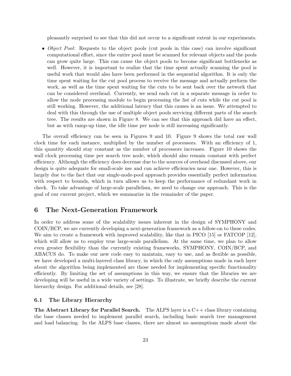pleasantly surprised to see that this did not occur to a significant extent in our experiments.

• *Object Pool:* Requests to the object pools (cut pools in this case) can involve significant computational effort, since the entire pool must be scanned for relevant objects and the pools can grow quite large. This can cause the object pools to become significant bottlenecks as well. However, it is important to realize that the time spent actually scanning the pool is useful work that would also have been performed in the sequential algorithm. It is only the time spent waiting for the cut pool process to receive the message and actually perform the work, as well as the time spent waiting for the cuts to be sent back over the network that can be considered overhead. Currently, we send each cut in a separate message in order to allow the node processing module to begin processing the list of cuts while the cut pool is still working. However, the additional latency that this causes is an issue. We attempted to deal with this through the use of multiple object pools servicing different parts of the search tree. The results are shown in Figure 8. We can see that this approach did have an effect, but as with ramp-up time, the idle time per node is still increasing significantly.

The overall efficiency can be seen in Figures 9 and 10. Figure 9 shows the total raw wall clock time for each instance, multiplied by the number of processors. With an efficiency of 1, this quantity should stay constant as the number of processors increases. Figure 10 shows the wall clock processing time per search tree node, which should also remain constant with perfect efficiency. Although the efficiency does decrease due to the sources of overhead discussed above, our design is quite adequate for small-scale use and can achieve efficiencies near one. However, this is largely due to the fact that our single-node-pool approach provides essentially perfect information with respect to bounds, which in turn allows us to keep the performance of redundant work in check. To take advantage of large-scale parallelism, we need to change our approach. This is the goal of our current project, which we summarize in the remainder of the paper.

### **6 The Next-Generation Framework**

In order to address some of the scalability issues inherent in the design of SYMPHONY and COIN/BCP, we are currently developing a next-generation framework as a follow-on to these codes. We aim to create a framework with improved scalability, like that in PICO [15] or FATCOP [12], which will allow us to employ true large-scale parallelism. At the same time, we plan to allow even greater flexibility than the currently existing frameworks, SYMPHONY, COIN/BCP, and ABACUS do. To make our new code easy to maintain, easy to use, and as flexible as possible, we have developed a multi-layered class library, in which the only assumptions made in each layer about the algorithm being implemented are those needed for implementing specific functionality efficiently. By limiting the set of assumptions in this way, we ensure that the libraries we are developing will be useful in a wide variety of settings. To illustrate, we briefly describe the current hierarchy design. For additional details, see [28].

### **6.1 The Library Hierarchy**

**The Abstract Library for Parallel Search.** The ALPS layer is a C++ class library containing the base classes needed to implement parallel search, including basic search tree management and load balancing. In the ALPS base classes, there are almost no assumptions made about the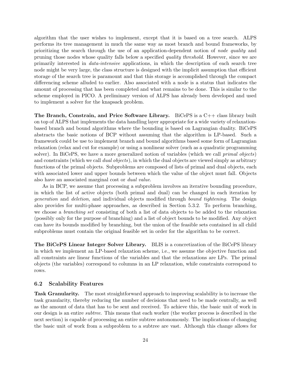algorithm that the user wishes to implement, except that it is based on a tree search. ALPS performs its tree management in much the same way as most branch and bound frameworks, by prioritizing the search through the use of an application-dependent notion of *node quality* and pruning those nodes whose quality falls below a specified *quality threshold*. However, since we are primarily interested in *data-intensive* applications, in which the description of each search tree node might be very large, the class structure is designed with the implicit assumption that efficient storage of the search tree is paramount and that this storage is accomplished through the compact differencing scheme alluded to earlier. Also associated with a node is a status that indicates the amount of processing that has been completed and what remains to be done. This is similar to the scheme employed in PICO. A preliminary version of ALPS has already been developed and used to implement a solver for the knapsack problem.

**The Branch, Constrain, and Price Software Library.** BiCePS is a C++ class library built on top of ALPS that implements the data handling layer appropriate for a wide variety of relaxationbased branch and bound algorithms where the bounding is based on Lagrangian duality. BiCePS abstracts the basic notions of BCP without assuming that the algorithm is LP-based. Such a framework could be use to implement branch and bound algorithms based some form of Lagrangian relaxation (relax and cut for example) or using a nonlinear solver (such as a quadratic programming solver). In BiCePS, we have a more generalized notion of variables (which we call *primal objects*) and constraints (which we call *dual objects*), in which the dual objects are viewed simply as arbitrary functions of the primal objects. Subproblems are composed of lists of primal and dual objects, each with associated lower and upper bounds between which the value of the object must fall. Objects also have an associated marginal cost or *dual value*.

As in BCP, we assume that processing a subproblem involves an iterative bounding procedure, in which the list of active objects (both primal and dual) can be changed in each iteration by *generation* and *deletion*, and individual objects modified through *bound tightening*. The design also provides for multi-phase approaches, as described in Section 5.3.2. To perform branching, we choose a *branching set* consisting of both a list of data objects to be added to the relaxation (possibly only for the purpose of branching) and a list of object bounds to be modified. Any object can have its bounds modified by branching, but the union of the feasible sets contained in all child subproblems must contain the original feasible set in order for the algorithm to be correct.

**The BiCePS Linear Integer Solver Library.** BLIS is a concretization of the BiCePS library in which we implement an LP-based relaxation scheme, i.e., we assume the objective function and all constraints are linear functions of the variables and that the relaxations are LPs. The primal objects (the variables) correspond to columns in an LP relaxation, while constraints correspond to rows.

#### **6.2 Scalability Features**

**Task Granularity.** The most straightforward approach to improving scalability is to increase the task granularity, thereby reducing the number of decisions that need to be made centrally, as well as the amount of data that has to be sent and received. To achieve this, the basic unit of work in our design is an entire *subtree*. This means that each worker (the worker process is described in the next section) is capable of processing an entire subtree autonomously. The implications of changing the basic unit of work from a subproblem to a subtree are vast. Although this change allows for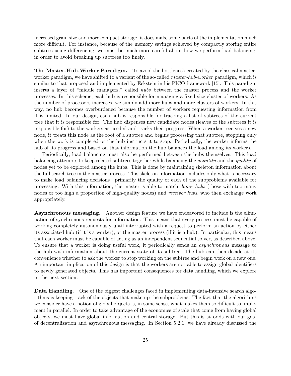increased grain size and more compact storage, it does make some parts of the implementation much more difficult. For instance, because of the memory savings achieved by compactly storing entire subtrees using differencing, we must be much more careful about how we perform load balancing, in order to avoid breaking up subtrees too finely.

**The Master-Hub-Worker Paradigm.** To avoid the bottleneck created by the classical masterworker paradigm, we have shifted to a variant of the so-called *master-hub-worker* paradigm, which is similar to that proposed and implemented by Eckstein in his PICO framework [15]. This paradigm inserts a layer of "middle managers," called *hubs* between the master process and the worker processes. In this scheme, each hub is responsible for managing a fixed-size cluster of workers. As the number of processors increases, we simply add more hubs and more clusters of workers. In this way, no hub becomes overburdened because the number of workers requesting information from it is limited. In our design, each hub is responsible for tracking a list of subtrees of the current tree that it is responsible for. The hub dispenses new candidate nodes (leaves of the subtrees it is responsible for) to the workers as needed and tracks their progress. When a worker receives a new node, it treats this node as the root of a subtree and begins processing that subtree, stopping only when the work is completed or the hub instructs it to stop. Periodically, the worker informs the hub of its progress and based on that information the hub balances the load among its workers.

Periodically, load balancing must also be performed between the hubs themselves. This load balancing attempts to keep related subtrees together while balancing the *quantity* and the *quality* of nodes yet to be explored among the hubs. This is done by maintaining skeleton information about the full search tree in the master process. This skeleton information includes only what is necessary to make load balancing decisions—primarily the quality of each of the subproblems available for processing. With this information, the master is able to match *donor hubs* (those with too many nodes or too high a proportion of high-quality nodes) and *receiver hubs*, who then exchange work appropriately.

**Asynchronous messaging.** Another design feature we have endeavored to include is the elimination of synchronous requests for information. This means that every process must be capable of working completely autonomously until interrupted with a request to perform an action by either its associated hub (if it is a worker), or the master process (if it is a hub). In particular, this means that each worker must be capable of acting as an independent sequential solver, as described above. To ensure that a worker is doing useful work, it periodically sends an *asynchronous* message to the hub with information about the current state of its subtree. The hub can then decide at its convenience whether to ask the worker to stop working on the subtree and begin work on a new one. An important implication of this design is that the workers are not able to assign global identifiers to newly generated objects. This has important consequences for data handling, which we explore in the next section.

**Data Handling.** One of the biggest challenges faced in implementing data-intensive search algorithms is keeping track of the objects that make up the subproblems. The fact that the algorithms we consider have a notion of global objects is, in some sense, what makes them so difficult to implement in parallel. In order to take advantage of the economies of scale that come from having global objects, we must have global information and central storage. But this is at odds with our goal of decentralization and asynchronous messaging. In Section 5.2.1, we have already discussed the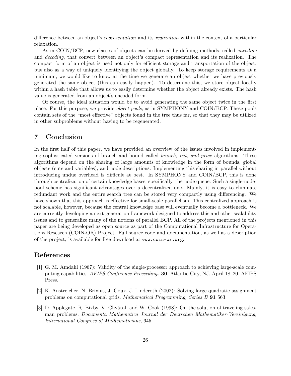difference between an object's *representation* and its *realization* within the context of a particular relaxation.

As in COIN/BCP, new classes of objects can be derived by defining methods, called *encoding* and *decoding*, that convert between an object's compact representation and its realization. The compact form of an object is used not only for efficient storage and transportation of the object, but also as a way of uniquely identifying the object globally. To keep storage requirements at a minimum, we would like to know at the time we generate an object whether we have previously generated the same object (this can easily happen). To determine this, we store object locally within a hash table that allows us to easily determine whether the object already exists. The hash value is generated from an object's encoded form.

Of course, the ideal situation would be to avoid generating the same object twice in the first place. For this purpose, we provide *object pools*, as in SYMPHONY and COIN/BCP. These pools contain sets of the "most effective" objects found in the tree thus far, so that they may be utilized in other subproblems without having to be regenerated.

### **7 Conclusion**

In the first half of this paper, we have provided an overview of the issues involved in implementing sophisticated versions of branch and bound called *branch, cut, and price* algorithms. These algorithms depend on the sharing of large amounts of knowledge in the form of bounds, global objects (cuts and variables), and node descriptions. Implementing this sharing in parallel without introducing undue overhead is difficult at best. In SYMPHONY and COIN/BCP, this is done through centralization of certain knowledge bases, specifically, the node queue. Such a single-nodepool scheme has significant advantages over a decentralized one. Mainly, it is easy to eliminate redundant work and the entire search tree can be stored very compactly using differencing. We have shown that this approach is effective for small-scale parallelism. This centralized approach is not scalable, however, because the central knowledge base will eventually become a bottleneck. We are currently developing a next-generation framework designed to address this and other scalability issues and to generalize many of the notions of parallel BCP. All of the projects mentioned in this paper are being developed as open source as part of the Computational Infrastructure for Operations Research (COIN-OR) Project. Full source code and documentation, as well as a description of the project, is available for free download at www.coin-or.org.

### **References**

- [1] G. M. Amdahl (1967): Validity of the single-processor approach to achieving large-scale computing capabilities. *AFIPS Conference Proceedings* **30**, Atlantic City, NJ, April 18–20, AFIPS Press.
- [2] K. Anstreicher, N. Brixius, J. Goux, J. Linderoth (2002): Solving large quadratic assignment problems on computational grids. *Mathematical Programming, Series B* **91** 563.
- [3] D. Applegate, R. Bixby, V. Chvátal, and W. Cook (1998): On the solution of traveling salesman problems. *Documenta Mathematica Journal der Deutschen Mathematiker-Vereinigung, International Congress of Mathematicians*, 645.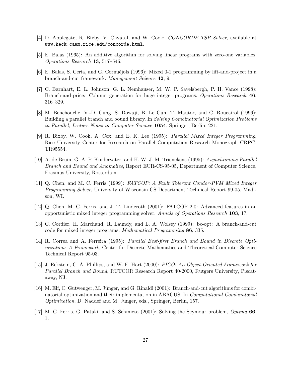- [4] D. Applegate, R. Bixby, V. Chv´atal, and W. Cook: *CONCORDE TSP Solver*, available at www.keck.caam.rice.edu/concorde.html.
- [5] E. Balas (1965): An additive algorithm for solving linear programs with zero-one variables. *Operations Research* **13**, 517–546.
- [6] E. Balas, S. Ceria, and G. Cornu´ejols (1996): Mixed 0-1 programming by lift-and-project in a branch-and-cut framework. *Management Science* **42**, 9.
- [7] C. Barnhart, E. L. Johnson, G. L. Nemhauser, M. W. P. Savelsbergh, P. H. Vance (1998): Branch-and-price: Column generation for huge integer programs. *Operations Research* **46**, 316–329.
- [8] M. Benchouche, V.-D. Cung, S. Dowaji, B. Le Cun, T. Mautor, and C. Roucairol (1996): Building a parallel branch and bound library. In *Solving Combinatorial Optimization Problems in Parallel, Lecture Notes in Computer Science* **1054**, Springer, Berlin, 221.
- [9] R. Bixby, W. Cook, A. Cox, and E. K. Lee (1995): *Parallel Mixed Integer Programming*, Rice University Center for Research on Parallel Computation Research Monograph CRPC-TR95554.
- [10] A. de Bruin, G. A. P. Kindervater, and H. W. J. M. Trienekens (1995): *Asynchronous Parallel Branch and Bound and Anomalies*, Report EUR-CS-95-05, Department of Computer Science, Erasmus University, Rotterdam.
- [11] Q. Chen, and M. C. Ferris (1999): *FATCOP: A Fault Tolerant Condor-PVM Mixed Integer Programming Solver*, University of Wisconsin CS Department Technical Report 99-05, Madison, WI.
- [12] Q. Chen, M. C. Ferris, and J. T. Linderoth (2001): FATCOP 2.0: Advanced features in an opportunistic mixed integer programming solver. *Annals of Operations Research* **103**, 17.
- [13] C. Cordier, H. Marchand, R. Laundy, and L. A. Wolsey (1999): bc-opt: A branch-and-cut code for mixed integer programs. *Mathematical Programming* **86**, 335.
- [14] R. Correa and A. Ferreira (1995): *Parallel Best-first Branch and Bound in Discrete Optimization: A Framework*, Center for Discrete Mathematics and Theoretical Computer Science Technical Report 95-03.
- [15] J. Eckstein, C. A. Phillips, and W. E. Hart (2000): *PICO: An Object-Oriented Framework for Parallel Branch and Bound*, RUTCOR Research Report 40-2000, Rutgers University, Piscataway, NJ.
- [16] M. Elf, C. Gutwenger, M. Jünger, and G. Rinaldi (2001): Branch-and-cut algorithms for combinatorial optimization and their implementation in ABACUS. In *Computational Combinatorial Optimization*, D. Naddef and M. Jünger, eds., Springer, Berlin, 157.
- [17] M. C. Ferris, G. Pataki, and S. Schmieta (2001): Solving the Seymour problem, *Optima* **66**, 1.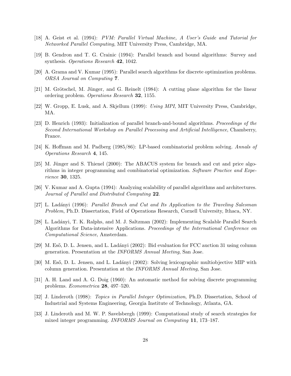- [18] A. Geist et al. (1994): *PVM: Parallel Virtual Machine, A User's Guide and Tutorial for Networked Parallel Computing*, MIT University Press, Cambridge, MA.
- [19] B. Gendron and T. G. Crainic (1994): Parallel branch and bound algorithms: Survey and synthesis. *Operations Research* **42**, 1042.
- [20] A. Grama and V. Kumar (1995): Parallel search algorithms for discrete optimization problems. *ORSA Journal on Computing* **7**.
- [21] M. Grötschel, M. Jünger, and G. Reinelt (1984): A cutting plane algorithm for the linear ordering problem. *Operations Research* **32**, 1155.
- [22] W. Gropp, E. Lusk, and A. Skjellum (1999): *Using MPI*, MIT University Press, Cambridge, MA.
- [23] D. Henrich (1993): Initialization of parallel branch-and-bound algorithms. *Proceedings of the Second International Workshop on Parallel Processing and Artificial Intelligence*, Chamberry, France.
- [24] K. Hoffman and M. Padberg (1985/86): LP-based combinatorial problem solving. *Annals of Operations Research* **4**, 145.
- [25] M. Jünger and S. Thienel (2000): The ABACUS system for branch and cut and price algorithms in integer programming and combinatorial optimization. *Software Practice and Experience* **30**, 1325.
- [26] V. Kumar and A. Gupta (1994): Analyzing scalability of parallel algorithms and architectures. *Journal of Parallel and Distributed Computing* **22**.
- [27] L. Lad´anyi (1996): *Parallel Branch and Cut and Its Application to the Traveling Salesman Problem*, Ph.D. Dissertation, Field of Operations Research, Cornell University, Ithaca, NY.
- [28] L. Ladányi, T. K. Ralphs, and M. J. Saltzman (2002): Implementing Scalable Parallel Search Algorithms for Data-intensive Applications. *Proceedings of the International Conference on Computational Science*, Amsterdam.
- [29] M. Eső, D. L. Jensen, and L. Ladányi (2002): Bid evaluation for FCC auction 31 using column generation. Presentation at the *INFORMS Annual Meeting*, San Jose.
- [30] M. Eső, D. L. Jensen, and L. Ladányi (2002): Solving lexicographic multiobjective MIP with column generation. Presentation at the *INFORMS Annual Meeting*, San Jose.
- [31] A. H. Land and A. G. Doig (1960): An automatic method for solving discrete programming problems. *Econometrica* **28**, 497–520.
- [32] J. Linderoth (1998): *Topics in Parallel Integer Optimization*, Ph.D. Dissertation, School of Industrial and Systems Engineering, Georgia Institute of Technology, Atlanta, GA.
- [33] J. Linderoth and M. W. P. Savelsbergh (1999): Computational study of search strategies for mixed integer programming. *INFORMS Journal on Computing* **11**, 173–187.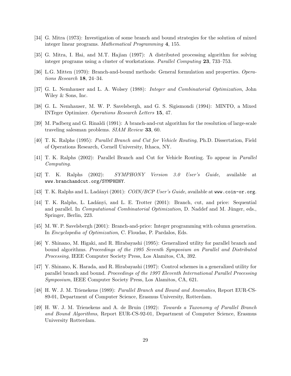- [34] G. Mitra (1973): Investigation of some branch and bound strategies for the solution of mixed integer linear programs. *Mathematical Programming* **4**, 155.
- [35] G. Mitra, I. Hai, and M.T. Hajian (1997): A distributed processing algorithm for solving integer programs using a cluster of workstations. *Parallel Computing* **23**, 733–753.
- [36] L.G. Mitten (1970): Branch-and-bound methods: General formulation and properties. *Operations Research* **18**, 24–34.
- [37] G. L. Nemhauser and L. A. Wolsey (1988): *Integer and Combinatorial Optimization*, John Wiley & Sons, Inc.
- [38] G. L. Nemhauser, M. W. P. Savelsbergh, and G. S. Sigismondi (1994): MINTO, a Mixed INTeger Optimizer. *Operations Research Letters* **15**, 47.
- [39] M. Padberg and G. Rinaldi (1991): A branch-and-cut algorithm for the resolution of large-scale traveling salesman problems. *SIAM Review* **33**, 60.
- [40] T. K. Ralphs (1995): *Parallel Branch and Cut for Vehicle Routing*, Ph.D. Dissertation, Field of Operations Research, Cornell University, Ithaca, NY.
- [41] T. K. Ralphs (2002): Parallel Branch and Cut for Vehicle Routing. To appear in *Parallel Computing*.
- [42] T. K. Ralphs (2002): *SYMPHONY Version 3.0 User's Guide*, available at www.branchandcut.org/SYMPHONY.
- [43] T. K. Ralphs and L. Lad´anyi (2001): *COIN/BCP User's Guide*, available at www.coin-or.org.
- [44] T. K. Ralphs, L. Lad´anyi, and L. E. Trotter (2001): Branch, cut, and price: Sequential and parallel. In *Computational Combinatorial Optimization*, D. Naddef and M. Jünger, eds., Springer, Berlin, 223.
- [45] M. W. P. Savelsbergh (2001): Branch-and-price: Integer programming with column generation. In *Encyclopedia of Optimization*, C. Floudas, P. Pardalos, Eds.
- [46] Y. Shinano, M. Higaki, and R. Hirabayashi (1995): Generalized utility for parallel branch and bound algorithms. *Proceedings of the 1995 Seventh Symposium on Parallel and Distributed Processing*, IEEE Computer Society Press, Los Alamitos, CA, 392.
- [47] Y. Shinano, K. Harada, and R. Hirabayashi (1997): Control schemes in a generalized utility for parallel branch and bound. *Proceedings of the 1997 Eleventh International Parallel Processing Symposium*, IEEE Computer Society Press, Los Alamitos, CA, 621.
- [48] H. W. J. M. Trienekens (1989): *Parallel Branch and Bound and Anomalies*, Report EUR-CS-89-01, Department of Computer Science, Erasmus University, Rotterdam.
- [49] H. W. J. M. Trienekens and A. de Bruin (1992): *Towards a Taxonomy of Parallel Branch and Bound Algorithms*, Report EUR-CS-92-01, Department of Computer Science, Erasmus University Rotterdam.